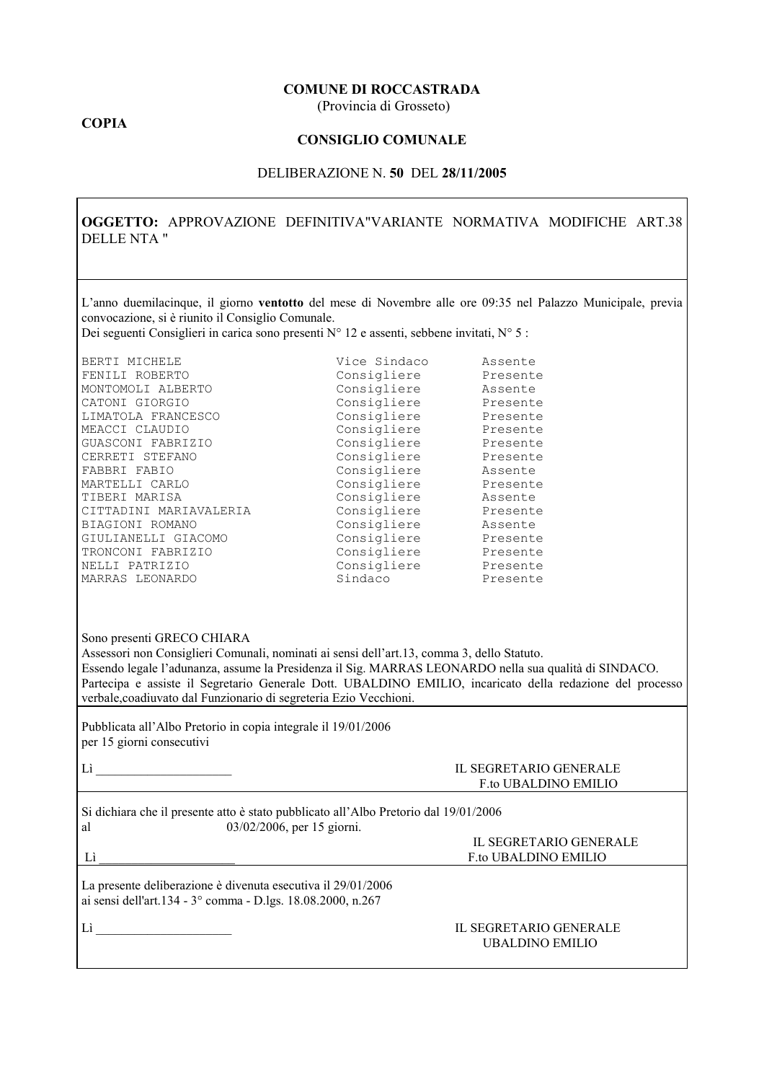#### **COMUNE DI ROCCASTRADA**

(Provincia di Grosseto)

### **COPIA**

### **CONSIGLIO COMUNALE**

#### DELIBERAZIONE N. 50 DEL 28/11/2005

OGGETTO: APPROVAZIONE DEFINITIVA"VARIANTE NORMATIVA MODIFICHE ART.38 **DELLE NTA "** 

L'anno duemilacinque, il giorno ventotto del mese di Novembre alle ore 09:35 nel Palazzo Municipale, previa convocazione, si è riunito il Consiglio Comunale.

Dei seguenti Consiglieri in carica sono presenti N° 12 e assenti, sebbene invitati, N° 5 :

| Vice Sindaco | Assente  |
|--------------|----------|
| Consigliere  | Presente |
| Consigliere  | Assente  |
| Consigliere  | Presente |
| Consigliere  | Presente |
| Consigliere  | Presente |
| Consigliere  | Presente |
| Consigliere  | Presente |
| Consigliere  | Assente  |
| Consigliere  | Presente |
| Consigliere  | Assente  |
| Consigliere  | Presente |
| Consigliere  | Assente  |
| Consigliere  | Presente |
| Consigliere  | Presente |
| Consigliere  | Presente |
| Sindaco      | Presente |
|              |          |

|  | Sono presenti GRECO CHIARA |
|--|----------------------------|
|  |                            |

 $Li$  and  $Li$ 

Assessori non Consiglieri Comunali, nominati ai sensi dell'art.13, comma 3, dello Statuto. Essendo legale l'adunanza, assume la Presidenza il Sig. MARRAS LEONARDO nella sua qualità di SINDACO. Partecipa e assiste il Segretario Generale Dott. UBALDINO EMILIO, incaricato della redazione del processo verbale, coadiuvato dal Funzionario di segreteria Ezio Vecchioni.

Pubblicata all'Albo Pretorio in copia integrale il 19/01/2006 per 15 giorni consecutivi

| IL SEGRETARIO GENERALE      |
|-----------------------------|
| <b>F</b> to UBALDINO EMILIO |

IL SEGRETARIO GENERALE

F.to UBALDINO EMILIO

Si dichiara che il presente atto è stato pubblicato all'Albo Pretorio dal 19/01/2006  $03/02/2006$ , per 15 giorni. al

La presente deliberazione è divenuta esecutiva il 29/01/2006 ai sensi dell'art.134 - 3° comma - D.lgs. 18.08.2000, n.267

 $\label{eq:Li} \text{Li} \quad \quad \underbrace{\qquad \qquad }$ 

#### **IL SEGRETARIO GENERALE UBALDINO EMILIO**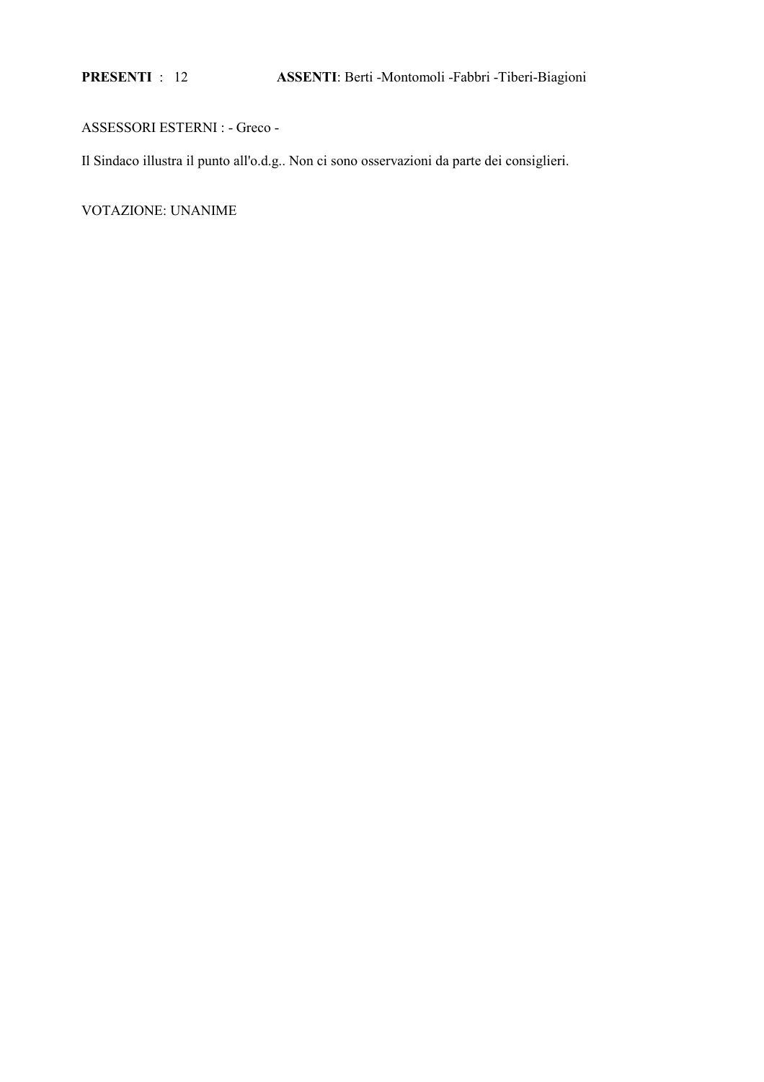PRESENTI : 12

# ASSESSORI ESTERNI : - Greco -

Il Sindaco illustra il punto all'o.d.g.. Non ci sono osservazioni da parte dei consiglieri.

VOTAZIONE: UNANIME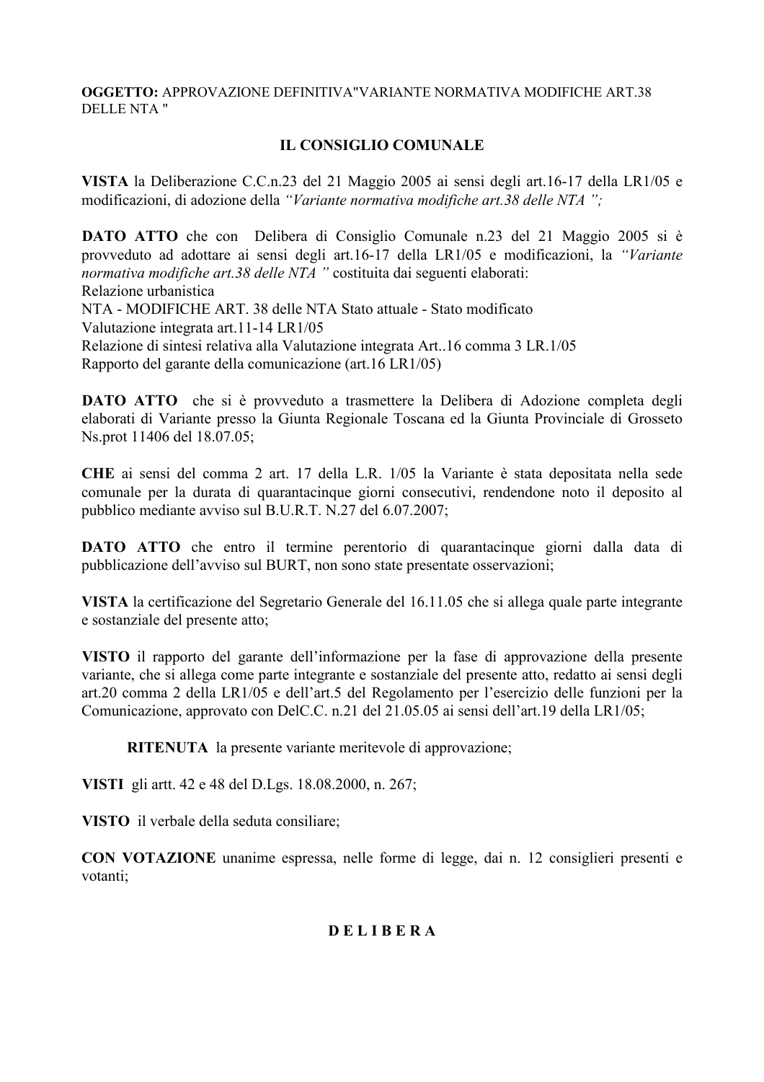## OGGETTO: APPROVAZIONE DEFINITIVA"VARIANTE NORMATIVA MODIFICHE ART.38 DELLE NTA "

# **IL CONSIGLIO COMUNALE**

VISTA la Deliberazione C.C.n.23 del 21 Maggio 2005 ai sensi degli art.16-17 della LR1/05 e modificazioni, di adozione della "Variante normativa modifiche art.38 delle NTA";

DATO ATTO che con Delibera di Consiglio Comunale n.23 del 21 Maggio 2005 si è provveduto ad adottare ai sensi degli art.16-17 della LR1/05 e modificazioni, la "Variante normativa modifiche art.38 delle NTA " costituita dai seguenti elaborati: Relazione urbanistica NTA - MODIFICHE ART. 38 delle NTA Stato attuale - Stato modificato Valutazione integrata art. 11-14 LR1/05 Relazione di sintesi relativa alla Valutazione integrata Art. 16 comma 3 LR 1/05 Rapporto del garante della comunicazione (art. 16 LR1/05)

**DATO ATTO** che si è provveduto a trasmettere la Delibera di Adozione completa degli elaborati di Variante presso la Giunta Regionale Toscana ed la Giunta Provinciale di Grosseto Ns.prot 11406 del 18.07.05;

CHE ai sensi del comma 2 art. 17 della L.R. 1/05 la Variante è stata depositata nella sede comunale per la durata di quarantacinque giorni consecutivi, rendendone noto il deposito al pubblico mediante avviso sul B.U.R.T. N.27 del 6.07.2007;

DATO ATTO che entro il termine perentorio di quarantacinque giorni dalla data di pubblicazione dell'avviso sul BURT, non sono state presentate osservazioni;

VISTA la certificazione del Segretario Generale del 16.11.05 che si allega quale parte integrante e sostanziale del presente atto;

VISTO il rapporto del garante dell'informazione per la fase di approvazione della presente variante, che si allega come parte integrante e sostanziale del presente atto, redatto ai sensi degli art.20 comma 2 della LR1/05 e dell'art.5 del Regolamento per l'esercizio delle funzioni per la Comunicazione, approvato con DelC.C. n.21 del 21.05.05 ai sensi dell'art.19 della LR1/05;

RITENUTA la presente variante meritevole di approvazione;

VISTI gli artt. 42 e 48 del D.Lgs. 18.08.2000, n. 267;

VISTO il verbale della seduta consiliare;

CON VOTAZIONE unanime espressa, nelle forme di legge, dai n. 12 consiglieri presenti e votanti:

# **DELIBERA**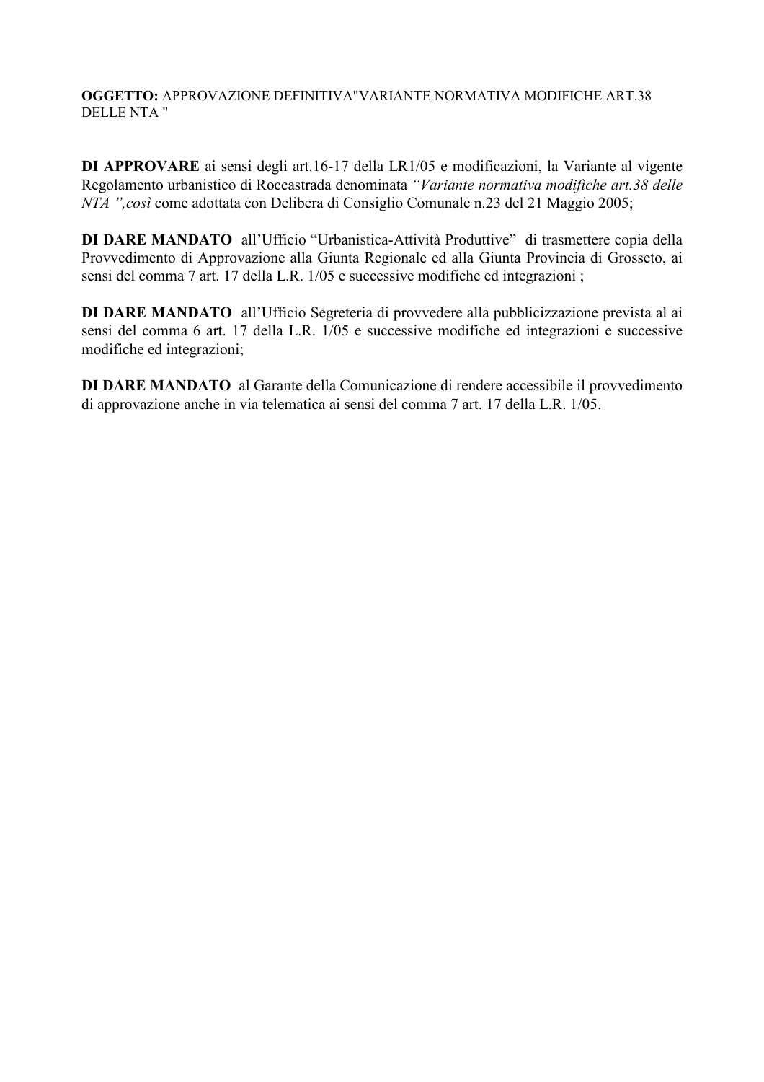OGGETTO: APPROVAZIONE DEFINITIVA"VARIANTE NORMATIVA MODIFICHE ART.38 **DELLE NTA "** 

DI APPROVARE ai sensi degli art.16-17 della LR1/05 e modificazioni, la Variante al vigente Regolamento urbanistico di Roccastrada denominata "Variante normativa modifiche art.38 delle NTA ", così come adottata con Delibera di Consiglio Comunale n.23 del 21 Maggio 2005;

DI DARE MANDATO all'Ufficio "Urbanistica-Attività Produttive" di trasmettere copia della Provvedimento di Approvazione alla Giunta Regionale ed alla Giunta Provincia di Grosseto, ai sensi del comma 7 art. 17 della L.R. 1/05 e successive modifiche ed integrazioni;

DI DARE MANDATO all'Ufficio Segreteria di provvedere alla pubblicizzazione prevista al ai sensi del comma 6 art. 17 della L.R. 1/05 e successive modifiche ed integrazioni e successive modifiche ed integrazioni;

DI DARE MANDATO al Garante della Comunicazione di rendere accessibile il provvedimento di approvazione anche in via telematica ai sensi del comma 7 art. 17 della L.R. 1/05.